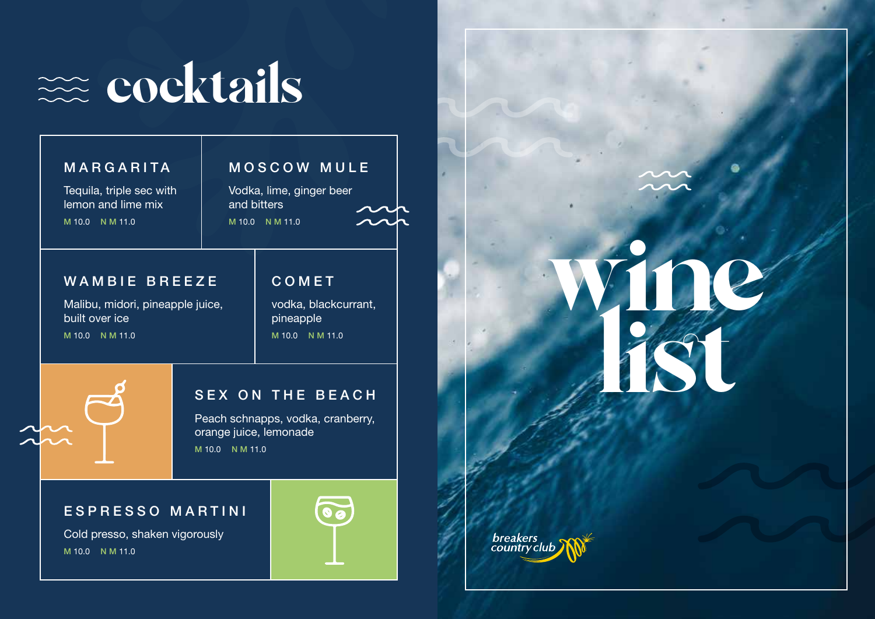

## MARGARITA Tequila, triple sec with lemon and lime mix M 10.0 N M 11.0 COMET vodka, blackcurrant, pineapple M 10.0 N M 11.0 MOSCOW MULE Vodka, lime, ginger beer and bitters M 10.0 N M 11.0 WAMBIE BREEZE Malibu, midori, pineapple juice, built over ice M 10.0 N M 11.0 SEX ON THE BEACH

Peach schnapps, vodka, cranberry, orange juice, lemonade M 10.0 N M 11.0

## ESPRESSO MARTINI

Cold presso, shaken vigorously M 10.0 N M 11.0



wine list